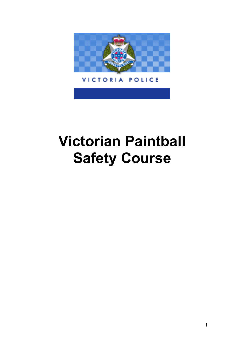<span id="page-0-0"></span>

#### **VICTORIA** POLICE

# **Victorian Paintball Safety Course**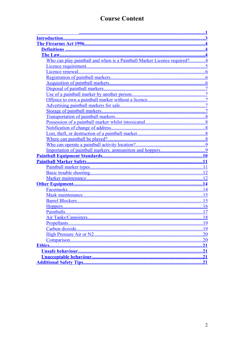# **Course Content**

| Who can play paintball and when is a Paintball Marker Licence required?4 |    |
|--------------------------------------------------------------------------|----|
|                                                                          |    |
|                                                                          |    |
|                                                                          |    |
|                                                                          |    |
|                                                                          |    |
|                                                                          |    |
|                                                                          |    |
|                                                                          |    |
|                                                                          |    |
|                                                                          |    |
|                                                                          |    |
|                                                                          |    |
|                                                                          |    |
|                                                                          |    |
|                                                                          |    |
|                                                                          |    |
|                                                                          |    |
|                                                                          |    |
|                                                                          |    |
|                                                                          |    |
|                                                                          |    |
|                                                                          |    |
|                                                                          | 14 |
|                                                                          |    |
|                                                                          |    |
|                                                                          | 16 |
|                                                                          |    |
|                                                                          | 18 |
|                                                                          | 19 |
|                                                                          |    |
|                                                                          |    |
|                                                                          |    |
|                                                                          |    |
|                                                                          |    |
|                                                                          |    |
|                                                                          |    |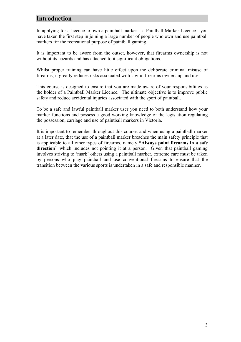## <span id="page-2-0"></span>**Introduction**

In applying for a licence to own a paintball marker – a Paintball Marker Licence - you have taken the first step in joining a large number of people who own and use paintball markers for the recreational purpose of paintball gaming.

It is important to be aware from the outset, however, that firearms ownership is not without its hazards and has attached to it significant obligations.

Whilst proper training can have little effect upon the deliberate criminal misuse of firearms, it greatly reduces risks associated with lawful firearms ownership and use.

This course is designed to ensure that you are made aware of your responsibilities as the holder of a Paintball Marker Licence. The ultimate objective is to improve public safety and reduce accidental injuries associated with the sport of paintball.

To be a safe and lawful paintball marker user you need to both understand how your marker functions and possess a good working knowledge of the legislation regulating the possession, carriage and use of paintball markers in Victoria.

It is important to remember throughout this course, and when using a paintball marker at a later date, that the use of a paintball marker breaches the main safety principle that is applicable to all other types of firearms, namely **"Always point firearms in a safe direction"** which includes not pointing it at a person. Given that paintball gaming involves striving to 'mark' others using a paintball marker, extreme care must be taken by persons who play paintball and use conventional firearms to ensure that the transition between the various sports is undertaken in a safe and responsible manner.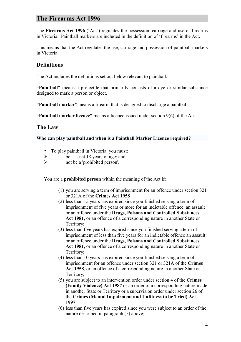## <span id="page-3-3"></span>**The Firearms Act 1996**

The **Firearms Act 1996** ('Act') regulates the possession, carriage and use of firearms in Victoria. Paintball markers are included in the definition of 'firearms' in the Act.

This means that the Act regulates the use, carriage and possession of paintball markers in Victoria.

## <span id="page-3-2"></span>**Definitions**

The Act includes the definitions set out below relevant to paintball.

**"Paintball"** means a projectile that primarily consists of a dye or similar substance designed to mark a person or object.

**"Paintball marker"** means a firearm that is designed to discharge a paintball.

**"Paintball marker licence"** means a licence issued under section 9(6) of the Act.

## <span id="page-3-1"></span>**The Law**

<span id="page-3-0"></span>**Who can play paintball and when is a Paintball Marker Licence required?**

- To play paintball in Victoria, you must:
- $\triangleright$  be at least 18 years of age; and
- not be a 'prohibited person'.

You are a **prohibited person** within the meaning of the Act if:

- (1) you are serving a term of imprisonment for an offence under section 321 or 321A of the **Crimes Act 1958**
- (2) less than 15 years has expired since you finished serving a term of imprisonment of five years or more for an indictable offence, an assault or an offence under the **Drugs, Poisons and Controlled Substances Act 1981**, or an offence of a corresponding nature in another State or Territory;
- (3) less than five years has expired since you finished serving a term of imprisonment of less than five years for an indictable offence an assault or an offence under the **Drugs, Poisons and Controlled Substances Act 1981**, or an offence of a corresponding nature in another State or Territory;
- (4) less than 10 years has expired since you finished serving a term of imprisonment for an offence under section 321 or 321A of the **Crimes Act 1958**, or an offence of a corresponding nature in another State or Territory;
- (5) you are subject to an intervention order under section 4 of the **Crimes (Family Violence) Act 1987** or an order of a corresponding nature made in another State or Territory or a supervision order under section 26 of the **Crimes (Mental Impairment and Unfitness to be Tried) Act 1997**;
- (6) less than five years has expired since you were subject to an order of the nature described in paragraph (5) above;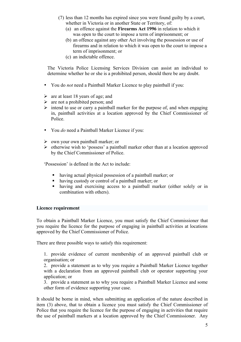- (7) less than 12 months has expired since you were found guilty by a court, whether in Victoria or in another State or Territory, of:
	- (a) an offence against the **Firearms Act 1996** in relation to which it was open to the court to impose a term of imprisonment; or
	- (b) an offence against any other Act involving the possession or use of firearms and in relation to which it was open to the court to impose a term of imprisonment; or
	- (c) an indictable offence.

The Victoria Police Licensing Services Division can assist an individual to determine whether he or she is a prohibited person, should there be any doubt.

- You do *not* need a Paintball Marker Licence to play paintball if you:
- $\triangleright$  are at least 18 years of age; and
- $\triangleright$  are not a prohibited person; and
- $\triangleright$  intend to use or carry a paintball marker for the purpose of, and when engaging in, paintball activities at a location approved by the Chief Commissioner of Police.
- You *do* need a Paintball Marker Licence if you:
- $\triangleright$  own your own paintball marker; or
- $\triangleright$  otherwise wish to 'possess' a paintball marker other than at a location approved by the Chief Commissioner of Police.

'Possession' is defined in the Act to include:

- having actual physical possession of a paintball marker; or
- having custody or control of a paintball marker; or
- having and exercising access to a paintball marker (either solely or in combination with others).

#### <span id="page-4-0"></span>**Licence requirement**

To obtain a Paintball Marker Licence, you must satisfy the Chief Commissioner that you require the licence for the purpose of engaging in paintball activities at locations approved by the Chief Commissioner of Police.

There are three possible ways to satisfy this requirement:

1. provide evidence of current membership of an approved paintball club or organisation; or

2. provide a statement as to why you require a Paintball Marker Licence together with a declaration from an approved paintball club or operator supporting your application; or

3. provide a statement as to why you require a Paintball Marker Licence and some other form of evidence supporting your case.

It should be borne in mind, when submitting an application of the nature described in item (3) above, that to obtain a licence you must satisfy the Chief Commissioner of Police that you require the licence for the purpose of engaging in activities that require the use of paintball markers at a location approved by the Chief Commissioner. Any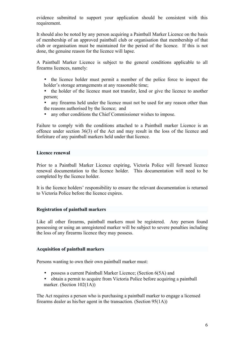evidence submitted to support your application should be consistent with this requirement.

It should also be noted by any person acquiring a Paintball Marker Licence on the basis of membership of an approved paintball club or organisation that membership of that club or organisation must be maintained for the period of the licence. If this is not done, the genuine reason for the licence will lapse.

A Paintball Marker Licence is subject to the general conditions applicable to all firearms licences, namely:

- the licence holder must permit a member of the police force to inspect the holder's storage arrangements at any reasonable time;
- the holder of the licence must not transfer, lend or give the licence to another person;
- any firearms held under the licence must not be used for any reason other than the reasons authorised by the licence; and
- any other conditions the Chief Commissioner wishes to impose.

Failure to comply with the conditions attached to a Paintball marker Licence is an offence under section 36(3) of the Act and may result in the loss of the licence and forfeiture of any paintball markers held under that licence.

#### <span id="page-5-2"></span>**Licence renewal**

Prior to a Paintball Marker Licence expiring, Victoria Police will forward licence renewal documentation to the licence holder. This documentation will need to be completed by the licence holder.

It is the licence holders' responsibility to ensure the relevant documentation is returned to Victoria Police before the licence expires.

#### <span id="page-5-1"></span>**Registration of paintball markers**

Like all other firearms, paintball markers must be registered. Any person found possessing or using an unregistered marker will be subject to severe penalties including the loss of any firearms licence they may possess.

#### <span id="page-5-0"></span>**Acquisition of paintball markers**

Persons wanting to own their own paintball marker must:

- possess a current Paintball Marker Licence; (Section 6(5A) and
- obtain a permit to acquire from Victoria Police before acquiring a paintball marker. (Section 102(1A))

The Act requires a person who is purchasing a paintball marker to engage a licensed firearms dealer as his/her agent in the transaction. (Section 95(1A))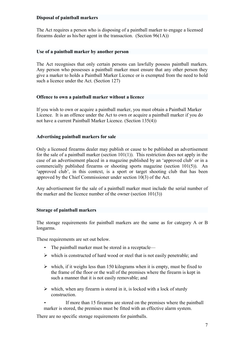#### <span id="page-6-4"></span>**Disposal of paintball markers**

The Act requires a person who is disposing of a paintball marker to engage a licensed firearms dealer as his/her agent in the transaction. (Section 96(1A))

#### <span id="page-6-3"></span>**Use of a paintball marker by another person**

The Act recognises that only certain persons can lawfully possess paintball markers. Any person who possesses a paintball marker must ensure that any other person they give a marker to holds a Paintball Marker Licence or is exempted from the need to hold such a licence under the Act. (Section 127)

#### <span id="page-6-2"></span>**Offence to own a paintball marker without a licence**

If you wish to own or acquire a paintball marker, you must obtain a Paintball Marker Licence. It is an offence under the Act to own or acquire a paintball marker if you do not have a current Paintball Marker Licence. (Section 135(4))

#### <span id="page-6-1"></span>**Advertising paintball markers for sale**

Only a licensed firearms dealer may publish or cause to be published an advertisement for the sale of a paintball marker (section  $101(1)$ ). This restriction does not apply in the case of an advertisement placed in a magazine published by an 'approved club' or in a commercially published firearms or shooting sports magazine (section 101(5)). An 'approved club', in this context, is a sport or target shooting club that has been approved by the Chief Commissioner under section 10(3) of the Act.

Any advertisement for the sale of a paintball marker must include the serial number of the marker and the licence number of the owner (section 101(3))

#### <span id="page-6-0"></span>**Storage of paintball markers**

The storage requirements for paintball markers are the same as for category A or B longarms.

These requirements are set out below.

- The paintball marker must be stored in a receptacle—
- $\triangleright$  which is constructed of hard wood or steel that is not easily penetrable; and
- $\triangleright$  which, if it weighs less than 150 kilograms when it is empty, must be fixed to the frame of the floor or the wall of the premises where the firearm is kept in such a manner that it is not easily removable; and
- $\triangleright$  which, when any firearm is stored in it, is locked with a lock of sturdy construction.

If more than 15 firearms are stored on the premises where the paintball marker is stored, the premises must be fitted with an effective alarm system.

There are no specific storage requirements for paintballs.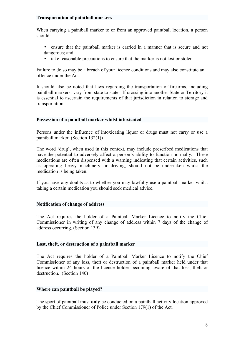#### <span id="page-7-4"></span>**Transportation of paintball markers**

When carrying a paintball marker to or from an approved paintball location, a person should:

- ensure that the paintball marker is carried in a manner that is secure and not dangerous; and
- take reasonable precautions to ensure that the marker is not lost or stolen.

Failure to do so may be a breach of your licence conditions and may also constitute an offence under the Act.

It should also be noted that laws regarding the transportation of firearms, including paintball markers, vary from state to state. If crossing into another State or Territory it is essential to ascertain the requirements of that jurisdiction in relation to storage and transportation.

#### <span id="page-7-3"></span>**Possession of a paintball marker whilst intoxicated**

Persons under the influence of intoxicating liquor or drugs must not carry or use a paintball marker. (Section 132(1))

The word 'drug', when used in this context, may include prescribed medications that have the potential to adversely affect a person's ability to function normally. These medications are often dispensed with a warning indicating that certain activities, such as operating heavy machinery or driving, should not be undertaken whilst the medication is being taken.

If you have any doubts as to whether you may lawfully use a paintball marker whilst taking a certain medication you should seek medical advice.

#### <span id="page-7-2"></span>**Notification of change of address**

The Act requires the holder of a Paintball Marker Licence to notify the Chief Commissioner in writing of any change of address within 7 days of the change of address occurring. (Section 139)

#### <span id="page-7-1"></span>**Lost, theft, or destruction of a paintball marker**

The Act requires the holder of a Paintball Marker Licence to notify the Chief Commissioner of any loss, theft or destruction of a paintball marker held under that licence within 24 hours of the licence holder becoming aware of that loss, theft or destruction. (Section 140)

#### <span id="page-7-0"></span>**Where can paintball be played?**

The sport of paintball must **only** be conducted on a paintball activity location approved by the Chief Commissioner of Police under Section 179(1) of the Act.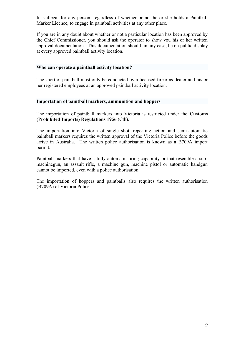It is illegal for any person, regardless of whether or not he or she holds a Paintball Marker Licence, to engage in paintball activities at any other place.

If you are in any doubt about whether or not a particular location has been approved by the Chief Commissioner, you should ask the operator to show you his or her written approval documentation. This documentation should, in any case, be on public display at every approved paintball activity location.

#### <span id="page-8-1"></span>**Who can operate a paintball activity location?**

The sport of paintball must only be conducted by a licensed firearms dealer and his or her registered employees at an approved paintball activity location.

#### <span id="page-8-0"></span>**Importation of paintball markers, ammunition and hoppers**

The importation of paintball markers into Victoria is restricted under the **Customs (Prohibited Imports) Regulations 1956** (Cth).

The importation into Victoria of single shot, repeating action and semi-automatic paintball markers requires the written approval of the Victoria Police before the goods arrive in Australia. The written police authorisation is known as a B709A import permit.

Paintball markers that have a fully automatic firing capability or that resemble a submachinegun, an assault rifle, a machine gun, machine pistol or automatic handgun cannot be imported, even with a police authorisation.

The importation of hoppers and paintballs also requires the written authorisation (B709A) of Victoria Police.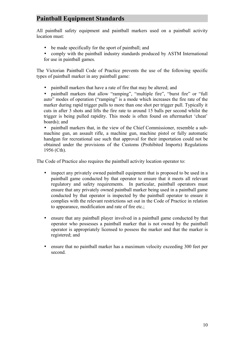## <span id="page-9-0"></span>**Paintball Equipment Standards**

All paintball safety equipment and paintball markers used on a paintball activity location must:

- be made specifically for the sport of paintball; and
- comply with the paintball industry standards produced by ASTM International for use in paintball games.

The Victorian Paintball Code of Practice prevents the use of the following specific types of paintball marker in any paintball game:

• paintball markers that have a rate of fire that may be altered; and

• paintball markers that allow "ramping", "multiple fire", "burst fire" or "full auto" modes of operation ("ramping" is a mode which increases the fire rate of the marker during rapid trigger pulls to more than one shot per trigger pull. Typically it cuts in after 3 shots and lifts the fire rate to around 15 balls per second whilst the trigger is being pulled rapidity. This mode is often found on aftermarket 'cheat' boards); and

• paintball markers that, in the view of the Chief Commissioner, resemble a submachine gun, an assault rifle, a machine gun, machine pistol or fully automatic handgun for recreational use such that approval for their importation could not be obtained under the provisions of the Customs (Prohibited Imports) Regulations 1956 (Cth).

The Code of Practice also requires the paintball activity location operator to:

- inspect any privately owned paintball equipment that is proposed to be used in a paintball game conducted by that operator to ensure that it meets all relevant regulatory and safety requirements. In particular, paintball operators must ensure that any privately owned paintball marker being used in a paintball game conducted by that operator is inspected by the paintball operator to ensure it complies with the relevant restrictions set out in the Code of Practice in relation to appearance, modification and rate of fire etc.;
- ensure that any paintball player involved in a paintball game conducted by that operator who possesses a paintball marker that is not owned by the paintball operator is appropriately licensed to possess the marker and that the marker is registered; and
- ensure that no paintball marker has a maximum velocity exceeding 300 feet per second.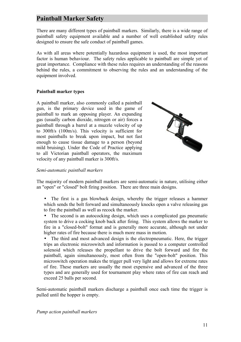## <span id="page-10-1"></span>**Paintball Marker Safety**

There are many different types of paintball markers. Similarly, there is a wide range of paintball safety equipment available and a number of well established safety rules designed to ensure the safe conduct of paintball games.

As with all areas where potentially hazardous equipment is used, the most important factor is human behaviour. The safety rules applicable to paintball are simple yet of great importance. Compliance with these rules requires an understanding of the reasons behind the rules, a commitment to observing the rules and an understanding of the equipment involved.

#### <span id="page-10-0"></span>**Paintball marker types**

A [paintball marker,](http://en.wikipedia.org/wiki/Paintball_marker) also commonly called a paintball gun, is the primary device used in the game of [paintball](http://en.wikipedia.org/wiki/Paintball) to mark an opposing player. An expanding gas (usually [carbon dioxide,](http://en.wikipedia.org/wiki/Carbon_dioxide) [nitrogen](http://en.wikipedia.org/wiki/Nitrogen) or [air\)](http://en.wikipedia.org/wiki/High_Pressure_Air_(paintball)) forces a paintball through a barrel at a [muzzle velocity](http://en.wikipedia.org/wiki/Muzzle_velocity) of up to 300ft/s (100m/s). This velocity is sufficient for most paintballs to break upon impact, but not fast enough to cause tissue damage to a person (beyond mild bruising). Under the Code of Practice applying to all Victorian paintball operators, the maximum velocity of any paintball marker is 300ft/s.



#### *Semi-automatic paintball markers*

The majority of modern paintball markers are semi-automatic in nature, utilising either an "open" or "closed" bolt firing position. There are three main designs.

- The first is a gas blowback design, whereby the trigger releases a hammer which sends the bolt forward and simultaneously knocks open a valve releasing gas to fire the paintball as well as recock the marker.
- The second is an autococking design, which uses a complicated gas pneumatic system to drive a cocking knob back after firing. This system allows the marker to fire in a "closed-bolt" format and is generally more accurate, although not under higher rates of fire because there is much more mass in motion.
- The third and most advanced design is the electropneumatic. Here, the trigger trips an electronic microswitch and information is passed to a computer controlled solenoid which releases the propellant to drive the bolt forward and fire the paintball, again simultaneously, most often from the "open-bolt" position. This microswitch operation makes the trigger pull very light and allows for extreme rates of fire. These markers are usually the most expensive and advanced of the three types and are generally used for tournament play where rates of fire can reach and exceed 25 balls per second.

Semi-automatic paintball markers discharge a paintball once each time the trigger is pulled until the hopper is empty.

*Pump action paintball markers*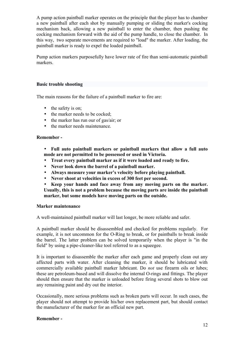A pump action paintball marker operates on the principle that the player has to chamber a new paintball after each shot by manually pumping or sliding the marker's cocking mechanism back, allowing a new paintball to enter the chamber, then pushing the cocking mechanism forward with the aid of the pump handle, to close the chamber. In this way, two separate movements are required to "load" the marker. After loading, the paintball marker is ready to expel the loaded paintball.

Pump action markers purposefully have lower rate of fire than semi-automatic paintball markers.

#### <span id="page-11-1"></span>**Basic trouble shooting**

The main reasons for the failure of a paintball marker to fire are:

- the safety is on;
- the marker needs to be cocked;
- the marker has run our of gas/air; or
- the marker needs maintenance

#### **Remember -**

- **Full auto paintball markers or paintball markers that allow a full auto mode are not permitted to be possessed or used in Victoria.**
- **Treat every paintball marker as if it were loaded and ready to fire.**
- **Never look down the barrel of a paintball marker.**
- **Always measure your marker's velocity before playing paintball.**
- **Never shoot at velocities in excess of 300 feet per second.**
- **Keep your hands and face away from any moving parts on the marker. Usually, this is not a problem because the moving parts are inside the paintball marker, but some models have moving parts on the outside.**

#### <span id="page-11-0"></span>**Marker maintenance**

A well-maintained paintball marker will last longer, be more reliable and safer.

A paintball marker should be disassembled and checked for problems regularly. For example, it is not uncommon for the O-Ring to break, or for paintballs to break inside the barrel. The latter problem can be solved temporarily when the player is "in the field" by using a pipe-cleaner-like tool referred to as a squeegee.

It is important to disassemble the marker after each game and properly clean out any affected parts with water. After cleaning the marker, it should be lubricated with commercially available paintball marker lubricant. Do *not* use firearm oils or lubes; these are petroleum-based and will dissolve the internal O-rings and fittings. The player should then ensure that the marker is unloaded before firing several shots to blow out any remaining paint and dry out the interior.

Occasionally, more serious problems such as broken parts will occur. In such cases, the player should not attempt to provide his/her own replacement part, but should contact the manufacturer of the marker for an official new part.

#### **Remember -**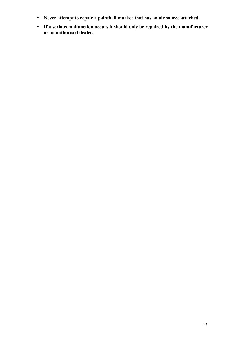- **Never attempt to repair a paintball marker that has an air source attached.**
- **If a serious malfunction occurs it should only be repaired by the manufacturer or an authorised dealer.**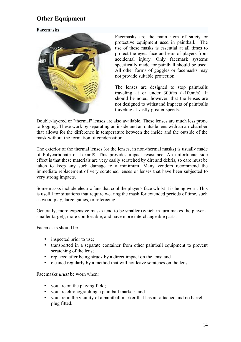## <span id="page-13-1"></span>**Other Equipment**

#### <span id="page-13-0"></span>**Facemasks**



Facemasks are the main item of safety or protective equipment used in paintball. The use of these masks is essential at all times to protect the eyes, face and ears of players from accidental injury. Only facemask systems specifically made for paintball should be used. All other forms of goggles or facemasks may not provide suitable protection.

The lenses are designed to stop paintballs traveling at or under 300ft/s (~100m/s). It should be noted, however, that the lenses are not designed to withstand impacts of paintballs traveling at vastly greater speeds.

Double-layered or "thermal" lenses are also available. These lenses are much less prone to fogging. These work by separating an inside and an outside lens with an air chamber that allows for the difference in temperature between the inside and the outside of the mask without the formation of condensation.

The exterior of the thermal lenses (or the lenses, in non-thermal masks) is usually made of [Polycarbonate](http://en.wikipedia.org/wiki/Polycarbonate) or [Lexan®](http://en.wikipedia.org/wiki/Lexan). This provides impact resistance. An unfortunate side effect is that these materials are very easily scratched by dirt and debris, so care must be taken to keep any such damage to a minimum. Many vendors recommend the immediate replacement of very scratched lenses or lenses that have been subjected to very strong impacts.

Some masks include electric fans that cool the player's face whilst it is being worn. This is useful for situations that require wearing the mask for extended periods of time, such as wood play, large games, or refereeing.

Generally, more expensive masks tend to be smaller (which in turn makes the player a smaller target), more comfortable, and have more interchangeable parts.

Facemasks should be -

- inspected prior to use;
- transported in a separate container from other paintball equipment to prevent scratching of the lens;
- replaced after being struck by a direct impact on the lens; and
- cleaned regularly by a method that will not leave scratches on the lens.

Facemasks *must* be worn when:

- you are on the playing field;
- you are chronographing a paintball marker; and
- you are in the vicinity of a paintball marker that has air attached and no barrel plug fitted.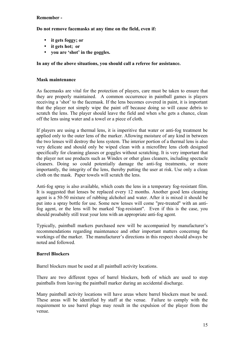#### **Remember -**

**Do not remove facemasks at any time on the field, even if:** 

- **it gets foggy; or**
- **it gets hot; or**
- **you are 'shot' in the goggles.**

#### **In any of the above situations, you should call a referee for assistance.**

#### <span id="page-14-1"></span>**Mask maintenance**

As facemasks are vital for the protection of players, care must be taken to ensure that they are properly maintained. A common occurrence in paintball games is players receiving a 'shot' to the facemask. If the lens becomes covered in paint, it is important that the player not simply wipe the paint off because doing so will cause debris to scratch the lens. The player should leave the field and when s/he gets a chance, clean off the lens using water and a towel or a piece of cloth.

If players are using a thermal lens, it is imperitive that water or anti-fog treatment be applied only to the outer lens of the marker. Allowing moisture of any kind in between the two lenses will destroy the lens system. The interior portion of a thermal lens is also very delicate and should only be wiped clean with a microfibre lens cloth designed specifically for cleaning glasses or goggles without scratching. It is very important that the player not use products such as Windex or other glass cleaners, including spectacle cleaners. Doing so could potentially damage the anti-fog treatments, or more importantly, the integrity of the lens, thereby putting the user at risk. Use only a clean cloth on the mask. Paper towels will scratch the lens.

Anti-fog spray is also available, which coats the lens in a temporary fog-resistant film. It is suggested that lenses be replaced every 12 months. Another good lens cleaning agent is a 50-50 mixture of rubbing alchohol and water. After it is mixed it should be put into a spray bottle for use. Some new lenses will come "pre-treated" with an antifog agent, or the lens will be marked "fog-resistant". Even if this is the case, you should proabably still treat your lens with an appropriate anti-fog agent.

Typically, paintball markers purchased new will be accompanied by manufacturer's recommendations regarding maintenance and other important matters concernng the workings of the marker. The manufacturer's directions in this respect should always be noted and followed.

#### <span id="page-14-0"></span>**Barrel Blockers**

Barrel blockers must be used at all paintball activity locations.

There are two different types of barrel blockers, both of which are used to stop paintballs from leaving the paintball marker during an accidental discharge.

Many paintball activity locations will have areas where barrel blockers must be used. These areas will be identified by staff at the venue. Failure to comply with the requirement to use barrel plugs may result in the expulsion of the player from the venue.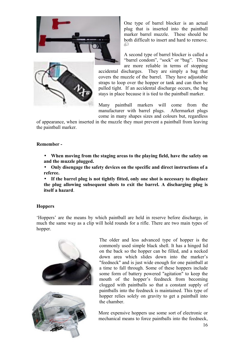



One type of barrel blocker is an actual plug that is inserted into the paintball marker barrel muzzle. These should be both difficult to insert and hard to remove. ᅟᅮ

A second type of barrel blocker is called a "barrel condom", "sock" or "bag". These are more reliable in terms of stopping

accidental discharges. They are simply a bag that covers the muzzle of the barrel. They have adjustable straps to loop over the hopper or tank and can then be pulled tight. If an accidental discharge occurs, the bag stays in place because it is tied to the paintball marker.

Many paintball markers will come from the manufacturer with barrel plugs. Aftermarket plugs come in many shapes sizes and colours but, regardless

of appearance, when inserted in the muzzle they must prevent a paintball from leaving the paintball marker.

#### **Remember -**

- **When moving from the staging areas to the playing field, have the safety on and the muzzle plugged.**
- **Only disengage the safety devices on the specific and direct instructions of a referee.**
- **If the barrel plug is not tightly fitted, only one shot is necessary to displace the plug allowing subsequent shots to exit the barrel. A discharging plug is itself a hazard**.

#### <span id="page-15-0"></span>**Hoppers**

'Hoppers' are the means by which paintball are held in reserve before discharge, in much the same way as a clip will hold rounds for a rifle. There are two main types of hopper.



The older and less advanced type of hopper is the commonly used simple black shell. It has a hinged lid on the back so the hopper can be filled, and a necked down area which slides down into the marker's "feedneck" and is just wide enough for one paintball at a time to fall through. Some of these hoppers include some form of battery powered "agitation" to keep the mouth of the hopper's feedneck from becoming clogged with paintballs so that a constant supply of paintballs into the feedneck is maintained. This type of hopper relies solely on gravity to get a paintball into the chamber.

More expensive hoppers use some sort of electronic or mechanical means to force paintballs into the feedneck,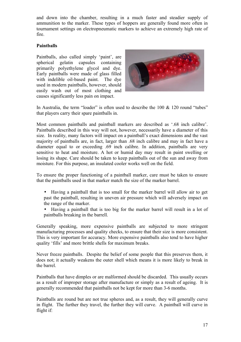and down into the chamber, resulting in a much faster and steadier supply of ammunition to the marker. These types of hoppers are generally found more often in tournament settings on electropneumatic markers to achieve an extremely high rate of fire.

#### <span id="page-16-0"></span>**Paintballs**

Paintballs, also called simply 'paint', are spherical [gelatin](http://en.wikipedia.org/wiki/Gelatin) [capsules](http://en.wikipedia.org/wiki/Encapsulation_(pharmacology)) containing primarily [polyethylene glycol](http://en.wikipedia.org/wiki/Polyethylene_glycol) and dye. Early paintballs were made of glass filled with indelible oil-based paint. The dye used in modern paintballs, however, should easily wash out of most clothing and causes significantly less pain on impact.



In Australia, the term "loader" is often used to describe the  $100 \& 120$  round "tubes" that players carry their spare paintballs in.

Most common paintballs and paintball markers are described as '.68 inch calibre'. Paintballs described in this way will not, however, necessarily have a diameter of this size. In reality, many factors will impact on a paintball's exact dimensions and the vast majority of paintballs are, in fact, larger than .68 inch calibre and may in fact have a diameter equal to or exceeding .69 inch calibre. In addition, paintballs are very sensitive to heat and moisture. A hot or humid day may result in paint swelling or losing its shape. Care should be taken to keep paintballs out of the sun and away from moisture. For this purpose, an insulated cooler works well on the field.

To ensure the proper functioning of a paintball marker, care must be taken to ensure that the paintballs used in that marker match the size of the marker barrel.

- Having a paintball that is too small for the marker barrel will allow air to get past the paintball, resulting in uneven air pressure which will adversely impact on the range of the marker.
- Having a paintball that is too big for the marker barrel will result in a lot of paintballs breaking in the barrell.

Generally speaking, more expensive paintballs are subjected to more stringent manufacturing processes and quality checks, to ensure that their size is more consistent. This is very important for accuracy. More expensive paintballs also tend to have higher quality 'fills' and more brittle shells for maximum breaks.

Never freeze paintballs. Despite the belief of some people that this preserves them, it does not; it actually weakens the outer shell which means it is more likely to break in the barrel.

Paintballs that have dimples or are malformed should be discarded. This usually occurs as a result of improper storage after manufacture or simply as a result of ageing. It is generally recommended that paintballs not be kept for more than 3-6 months.

Paintballs are round but are not true spheres and, as a result, they will generally curve in flight. The further they travel, the further they will curve. A paintball will curve in flight if: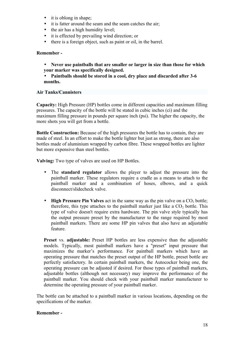- it is oblong in shape;
- it is fatter around the seam and the seam catches the air;
- the air has a high humidity level;
- it is effected by prevailing wind direction; or
- there is a foreign object, such as paint or oil, in the barrel.

#### **Remember -**

- **Never use paintballs that are smaller or larger in size than those for which your marker was specifically designed.**
- **Paintballs should be stored in a cool, dry place and discarded after 3-6 months.**

#### <span id="page-17-0"></span>**Air Tanks/Cannisters**

**Capacity:** High Pressure (HP) bottles come in different capacities and maximum filling pressures. The capacity of the bottle will be stated in cubic inches (ci) and the maximum filling pressure in pounds per square inch (psi). The higher the capacity, the more shots you will get from a bottle.

**Bottle Construction:** Because of the high pressures the bottle has to contain, they are made of steel. In an effort to make the bottle lighter but just as strong, there are also bottles made of aluminium wrapped by carbon fibre. These wrapped bottles are lighter but more expensive than steel bottles.

**Valving:** Two type of valves are used on HP Bottles.

- The **standard regulator** allows the player to adjust the pressure into the paintball marker. These regulators require a cradle as a means to attach to the paintball marker and a combination of hoses, elbows, and a quick disconnect/slidecheck valve.
- **High Pressure Pin Valves** act in the same way as the pin valve on a  $CO<sub>2</sub>$  bottle; therefore, this type attaches to the paintball marker just like a  $CO<sub>2</sub>$  bottle. This type of valve doesn't require extra hardware. The pin valve style typically has the output pressure preset by the manufacturer to the range required by most paintball markers. There are some HP pin valves that also have an adjustable feature.

**Preset** vs. **adjustable:** Preset HP bottles are less expensive than the adjustable models. Typically, most paintball markers have a "preset" input pressure that maximizes the marker's performance. For paintball markers which have an operating pressure that matches the preset output of the HP bottle, preset bottle are perfectly satisfactory. In certain paintball markers, the Autococker being one, the operating pressure can be adjusted if desired. For those types of paintball markers, adjustable bottles (although not necessary) may improve the performance of the paintball marker. You should check with your paintball marker manufacturer to determine the operating pressure of your paintball marker.

The bottle can be attached to a paintball marker in various locations, depending on the specifications of the marker.

#### **Remember -**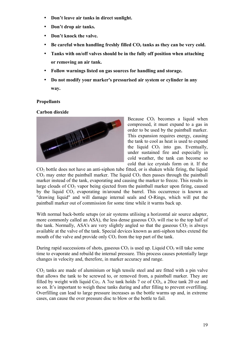- **Don't leave air tanks in direct sunlight.**
- **Don't drop air tanks.**
- **Don't knock the valve.**
- **Be careful when handling freshly filled CO2 tanks as they can be very cold.**
- **Tanks with on/off valves should be in the fully off position when attaching or removing an air tank.**
- **Follow warnings listed on gas sources for handling and storage.**
- **Do not modify your marker's pressurised air system or cylinder in any way.**

#### <span id="page-18-1"></span>**Propellants**

<span id="page-18-0"></span>**[Carbon dioxide](http://en.wikipedia.org/wiki/Carbon_dioxide)**



Because  $CO<sub>2</sub>$  becomes a liquid when compressed, it must expand to a gas in order to be used by the paintball marker. This expansion requires energy, causing the tank to cool as heat is used to expand the liquid  $CO<sub>2</sub>$  into gas. Eventually, under sustained fire and especially in cold weather, the tank can become so cold that ice crystals form on it. If the

 $CO<sub>2</sub>$  bottle does not have an anti-siphon tube fitted, or is shaken while firing, the liquid  $CO<sub>2</sub>$  may enter the paintball marker. The liquid  $CO<sub>2</sub>$  then passes through the paintball marker instead of the tank, evaporating and causing the marker to freeze. This results in large clouds of  $CO<sub>2</sub>$  vapor being ejected from the paintball marker upon firing, caused by the liquid  $CO<sub>2</sub>$  evaporating in/around the barrel. This occurrence is known as "drawing liquid" and will damage internal seals and O-Rings, which will put the paintball marker out of commission for some time while it warms back up.

With normal back-bottle setups (or air systems utilising a horizontal air source adapter, more commonly called an ASA), the less dense gaseous  $CO<sub>2</sub>$  will rise to the top half of the tank. Normally, ASA's are very slightly angled so that the gaseous  $CO<sub>2</sub>$  is always available at the valve of the tank. Special devices known as anti-siphon tubes extend the mouth of the valve and provide only  $CO<sub>2</sub>$  from the top part of the tank.

During rapid successions of shots, gaseous  $CO<sub>2</sub>$  is used up. Liquid  $CO<sub>2</sub>$  will take some time to evaporate and rebuild the internal pressure. This process causes potentially large changes in velocity and, therefore, in marker accuracy and range.

 $CO<sub>2</sub>$  tanks are made of aluminium or high tensile steel and are fitted with a pin valve that allows the tank to be screwed to, or removed from, a paintball marker. They are filled by weight with liquid  $Co<sub>2</sub>$ . A 7oz tank holds 7 oz of  $CO<sub>2</sub>$ , a 20oz tank 20 oz and so on. It's important to weigh these tanks during and after filling to prevent overfilling. Overfilling can lead to large pressure increases as the bottle warms up and, in extreme cases, can cause the over pressure disc to blow or the bottle to fail.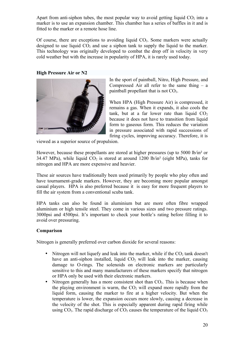Apart from anti-siphon tubes, the most popular way to avoid getting liquid  $CO<sub>2</sub>$  into a marker is to use an expansion chamber. This chamber has a series of baffles in it and is fitted to the marker or a remote hose line.

Of course, there are exceptions to avoiding liquid  $CO<sub>2</sub>$ . Some markers were actually designed to use liquid  $CO<sub>2</sub>$  and use a siphon tank to supply the liquid to the marker. This technology was originally developed to combat the drop off in velocity in very cold weather but with the increase in popularity of HPA, it is rarely used today.

<span id="page-19-1"></span>**[High Pressure Air](http://en.wikipedia.org/wiki/High_Pressure_Air_(paintball)) or N2**



In the sport of paintball, Nitro, High Pressure, and Compressed Air all refer to the same thing  $-$  a paintball propellant that is not  $CO<sub>2</sub>$ .

When HPA (High Pressure Air) is compressed, it remains a gas. When it expands, it also cools the tank, but at a far lower rate than liquid  $CO<sub>2</sub>$ because it does not have to transition from liquid form to gaseous form. This reduces the variation in pressure associated with rapid successions of firing cycles, improving accuracy. Therefore, it is

viewed as a superior source of propulsion.

However, because these propellants are stored at higher pressures (up to 5000 lb/in<sup>2</sup> or 34.47 MPa), while liquid  $CO<sub>2</sub>$  is stored at around 1200 lb/in<sup>2</sup> (eight MPa), tanks for nitrogen and HPA are more expensive and heavier.

These air sources have traditionally been used primarily by people who play often and have tournament-grade markers. However, they are becoming more popular amongst casual players. HPA is also preferred because it is easy for more frequent players to fill the air system from a conventional [scuba tank.](http://en.wikipedia.org/wiki/Scuba_tank)

HPA tanks can also be found in aluminium but are more often fibre wrapped aluminium or high tensile steel. They come in various sizes and two pressure ratings. 3000psi and 4500psi. It's important to check your bottle's rating before filling it to avoid over pressuring.

#### <span id="page-19-0"></span>**Comparison**

Nitrogen is generally preferred over carbon dioxide for several reasons:

- Nitrogen will not liquefy and leak into the marker, while if the  $CO<sub>2</sub>$  tank doesn't have an anti-siphon installed, liquid  $CO<sub>2</sub>$  will leak into the marker, causing damage to O-rings. The solenoids on electronic markers are particularly sensitive to this and many manufacturers of these markers specify that nitrogen or HPA only be used with their electronic markers.
- Nitrogen generally has a more consistent shot than  $CO<sub>2</sub>$ . This is because when the playing environment is warm, the  $CO<sub>2</sub>$  will expand more rapidly from the liquid form, causing the marker to fire at a higher velocity. But when the temperature is lower, the expansion occurs more slowly, causing a decrease in the velocity of the shot. This is especially apparent during rapid firing while using  $CO<sub>2</sub>$ . The rapid discharge of  $CO<sub>2</sub>$  causes the temperature of the liquid  $CO<sub>2</sub>$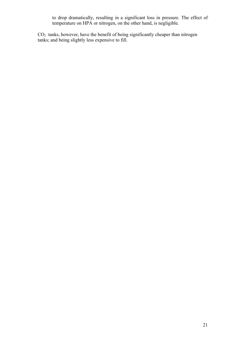to drop dramatically, resulting in a significant loss in pressure. The effect of temperature on HPA or nitrogen, on the other hand, is negligible.

 $CO<sub>2</sub>$  tanks, however, have the benefit of being significantly cheaper than nitrogen tanks; and being slightly less expensive to fill.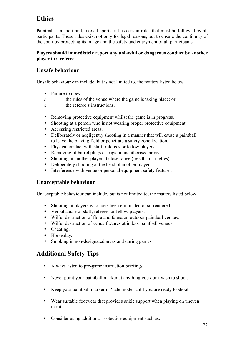# <span id="page-21-3"></span>**Ethics**

Paintball is a sport and, like all sports, it has certain rules that must be followed by all participants. These rules exist not only for legal reasons, but to ensure the continuity of the sport by protecting its image and the safety and enjoyment of all participants.

#### **Players should immediately report any unlawful or dangerous conduct by another player to a referee.**

## <span id="page-21-2"></span>**Unsafe behaviour**

Unsafe behaviour can include, but is not limited to, the matters listed below.

- Failure to obey:
- o the rules of the venue where the game is taking place; or
- o the referee's instructions.
- Removing protective equipment whilst the game is in progress.
- Shooting at a person who is not wearing proper protective equipment.
- Accessing restricted areas.
- Deliberately or negligently shooting in a manner that will cause a paintball to leave the playing field or penetrate a safety zone location.
- Physical contact with staff, referees or fellow players.
- Removing of barrel plugs or bags in unauthorised areas.
- Shooting at another player at close range (less than 5 metres).
- Deliberately shooting at the head of another player.
- Interference with venue or personal equipment safety features.

## <span id="page-21-1"></span>**Unacceptable behaviour**

Unacceptable behaviour can include, but is not limited to, the matters listed below.

- Shooting at players who have been eliminated or surrendered.
- Verbal abuse of staff, referees or fellow players.
- Wilful destruction of flora and fauna on outdoor paintball venues.
- Wilful destruction of venue fixtures at indoor paintball venues.
- Cheating.
- Horseplay.
- Smoking in non-designated areas and during games.

## <span id="page-21-0"></span>**Additional Safety Tips**

- Always listen to pre-game instruction briefings.
- Never point your paintball marker at anything you don't wish to shoot.
- Keep your paintball marker in 'safe mode' until you are ready to shoot.
- Wear suitable footwear that provides ankle support when playing on uneven terrain.
- Consider using additional protective equipment such as: